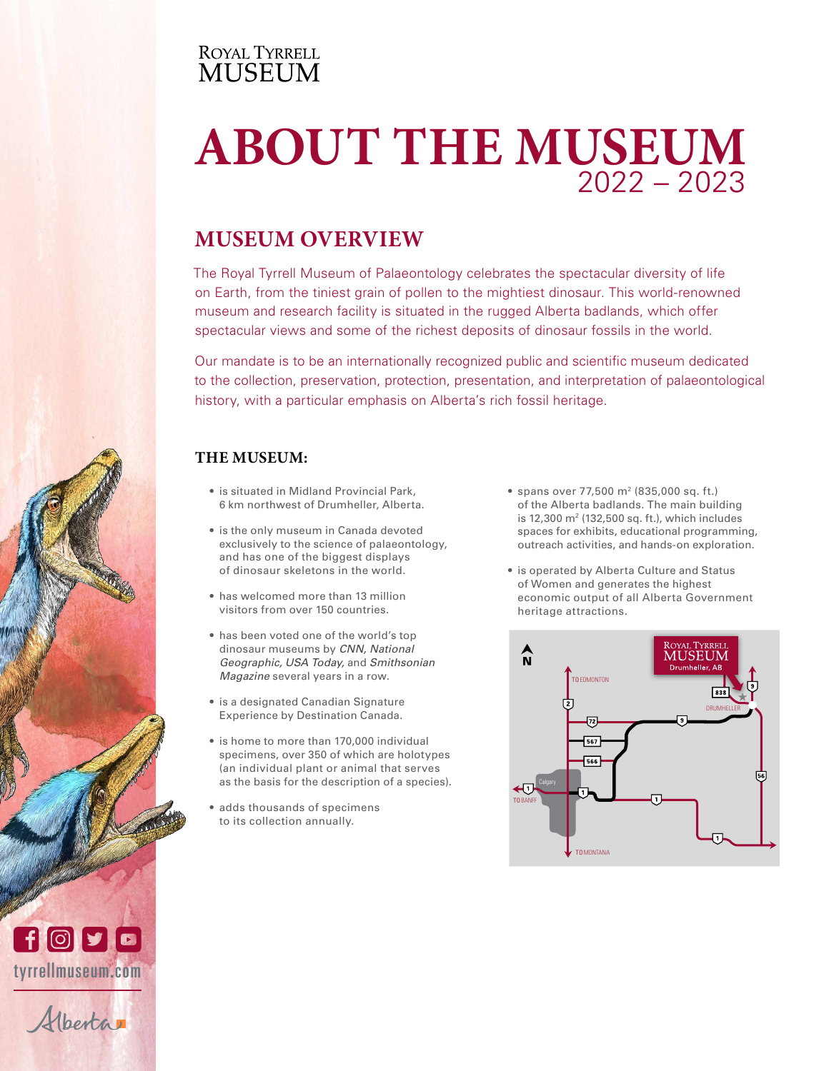### **ROYAL TYRRELL MUSEUM**

### RESEARCH & COLLECTIONS **ABOUT THE MUSEUM** 2022 – 2023

# **MUSEUM OVERVIEW**

The Royal Tyrrell Museum of Palaeontology celebrates the spectacular diversity of life on Earth, from the tiniest grain of pollen to the mightiest dinosaur. This world-renowned museum and research facility is situated in the rugged Alberta badlands, which offer spectacular views and some of the richest deposits of dinosaur fossils in the world.

Our mandate is to be an internationally recognized public and scientific museum dedicated to the collection, preservation, protection, presentation, and interpretation of palaeontological history, with a particular emphasis on Alberta's rich fossil heritage.

### **THE MUSEUM:**

- is situated in Midland Provincial Park, 6 km northwest of Drumheller, Alberta.
- is the only museum in Canada devoted exclusively to the science of palaeontology, and has one of the biggest displays of dinosaur skeletons in the world.
- has welcomed more than 13 million visitors from over 150 countries.
- has been voted one of the world's top dinosaur museums by *CNN, National Geographic, USA Today,* and *Smithsonian Magazine* several years in a row.
- is a designated Canadian Signature Experience by Destination Canada.
- is home to more than 170,000 individual specimens, over 350 of which are holotypes (an individual plant or animal that serves as the basis for the description of a species).
- adds thousands of specimens to its collection annually.
- spans over 77,500 m2 (835,000 sq. ft.) of the Alberta badlands. The main building is 12,300 m2 (132,500 sq. ft.), which includes spaces for exhibits, educational programming, outreach activities, and hands-on exploration.
- is operated by Alberta Culture and Status of Women and generates the highest economic output of all Alberta Government heritage attractions.





perta